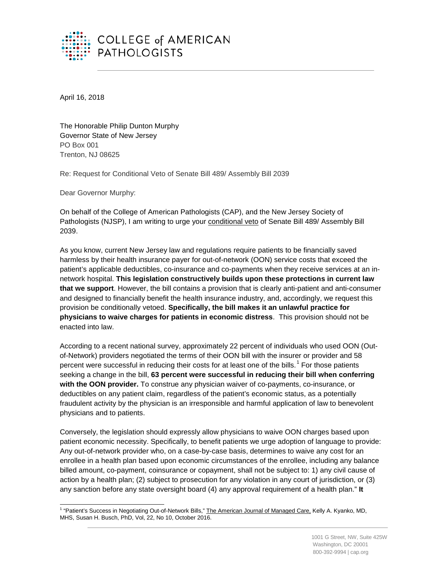

April 16, 2018

The Honorable Philip Dunton Murphy Governor State of New Jersey PO Box 001 Trenton, NJ 08625

Re: Request for Conditional Veto of Senate Bill 489/ Assembly Bill 2039

Dear Governor Murphy:

On behalf of the College of American Pathologists (CAP), and the New Jersey Society of Pathologists (NJSP), I am writing to urge your conditional veto of Senate Bill 489/ Assembly Bill 2039.

As you know, current New Jersey law and regulations require patients to be financially saved harmless by their health insurance payer for out-of-network (OON) service costs that exceed the patient's applicable deductibles, co-insurance and co-payments when they receive services at an innetwork hospital. **This legislation constructively builds upon these protections in current law that we support**. However, the bill contains a provision that is clearly anti-patient and anti-consumer and designed to financially benefit the health insurance industry, and, accordingly, we request this provision be conditionally vetoed. **Specifically, the bill makes it an unlawful practice for physicians to waive charges for patients in economic distress**. This provision should not be enacted into law.

According to a recent national survey, approximately 22 percent of individuals who used OON (Outof-Network) providers negotiated the terms of their OON bill with the insurer or provider and 58 percent were successful in reducing their costs for at least one of the bills.<sup>[1](#page-0-0)</sup> For those patients seeking a change in the bill, **63 percent were successful in reducing their bill when conferring with the OON provider.** To construe any physician waiver of co-payments, co-insurance, or deductibles on any patient claim, regardless of the patient's economic status, as a potentially fraudulent activity by the physician is an irresponsible and harmful application of law to benevolent physicians and to patients.

Conversely, the legislation should expressly allow physicians to waive OON charges based upon patient economic necessity. Specifically, to benefit patients we urge adoption of language to provide: Any out-of-network provider who, on a case-by-case basis, determines to waive any cost for an enrollee in a health plan based upon economic circumstances of the enrollee, including any balance billed amount, co-payment, coinsurance or copayment, shall not be subject to: 1) any civil cause of action by a health plan; (2) subject to prosecution for any violation in any court of jurisdiction, or (3) any sanction before any state oversight board (4) any approval requirement of a health plan." **It** 

<span id="page-0-0"></span><sup>&</sup>lt;sup>1</sup> "Patient's Success in Negotiating Out-of-Network Bills," The American Journal of Managed Care, Kelly A. Kyanko, MD, MHS, Susan H. Busch, PhD, Vol, 22, No 10, October 2016. ŧ